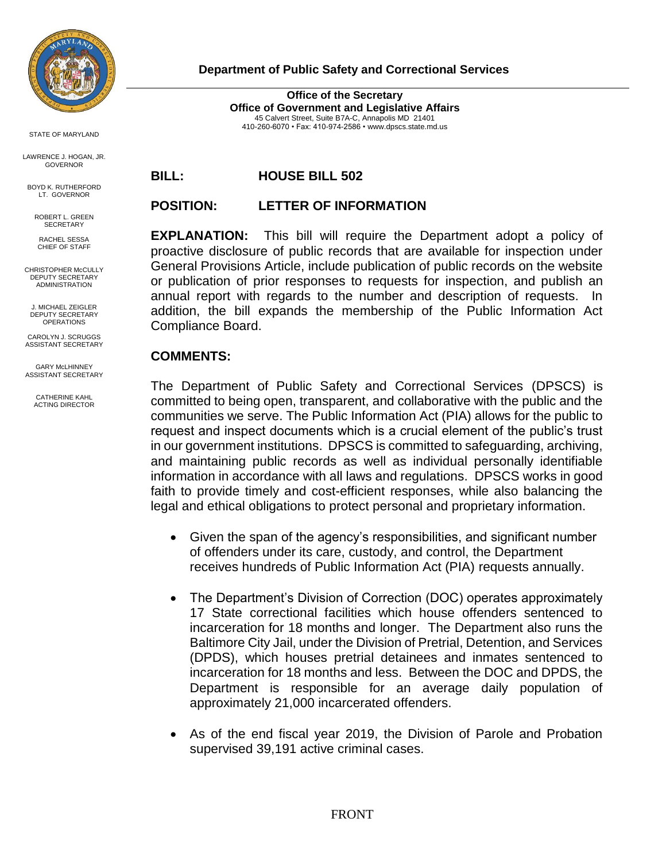

STATE OF MARYLAND

LAWRENCE J. HOGAN, JR. GOVERNOR

BOYD K. RUTHERFORD LT. GOVERNOR

ROBERT L. GREEN SECRETARY

RACHEL SESSA CHIEF OF STAFF

CHRISTOPHER McCULLY DEPUTY SECRETARY ADMINISTRATION

J. MICHAEL ZEIGLER DEPUTY SECRETARY **OPERATIONS** 

CAROLYN J. SCRUGGS ASSISTANT SECRETARY

GARY McLHINNEY ASSISTANT SECRETARY

> CATHERINE KAHL ACTING DIRECTOR

 **Department of Public Safety and Correctional Services**

**Office of the Secretary Office of Government and Legislative Affairs** 45 Calvert Street, Suite B7A-C, Annapolis MD 21401 410-260-6070 • Fax: 410-974-2586 [• www.dpscs.state.md.us](about:blank)

**BILL: HOUSE BILL 502**

## **POSITION: LETTER OF INFORMATION**

**EXPLANATION:** This bill will require the Department adopt a policy of proactive disclosure of public records that are available for inspection under General Provisions Article, include publication of public records on the website or publication of prior responses to requests for inspection, and publish an annual report with regards to the number and description of requests. In addition, the bill expands the membership of the Public Information Act Compliance Board.

## **COMMENTS:**

The Department of Public Safety and Correctional Services (DPSCS) is committed to being open, transparent, and collaborative with the public and the communities we serve. The Public Information Act (PIA) allows for the public to request and inspect documents which is a crucial element of the public's trust in our government institutions. DPSCS is committed to safeguarding, archiving, and maintaining public records as well as individual personally identifiable information in accordance with all laws and regulations. DPSCS works in good faith to provide timely and cost-efficient responses, while also balancing the legal and ethical obligations to protect personal and proprietary information.

- Given the span of the agency's responsibilities, and significant number of offenders under its care, custody, and control, the Department receives hundreds of Public Information Act (PIA) requests annually.
- The Department's Division of Correction (DOC) operates approximately 17 State correctional facilities which house offenders sentenced to incarceration for 18 months and longer. The Department also runs the Baltimore City Jail, under the Division of Pretrial, Detention, and Services (DPDS), which houses pretrial detainees and inmates sentenced to incarceration for 18 months and less. Between the DOC and DPDS, the Department is responsible for an average daily population of approximately 21,000 incarcerated offenders.
- As of the end fiscal year 2019, the Division of Parole and Probation supervised 39,191 active criminal cases.